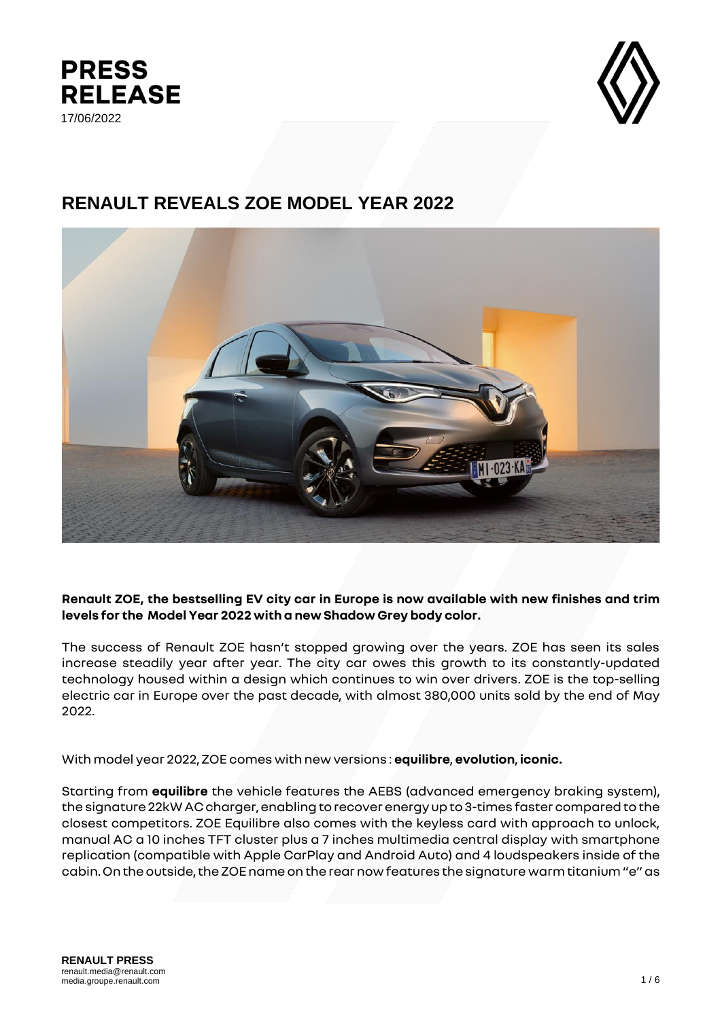



# **RENAULT REVEALS ZOE MODEL YEAR 2022**



**Renault ZOE, the bestselling EV city car in Europe is now available with new finishes and trim levels for the Model Year 2022 with a new Shadow Grey body color.**

The success of Renault ZOE hasn't stopped growing over the years. ZOE has seen its sales increase steadily year after year. The city car owes this growth to its constantly-updated technology housed within a design which continues to win over drivers. ZOE is the top-selling electric car in Europe over the past decade, with almost 380,000 units sold by the end of May 2022.

With model year 2022, ZOE comes with new versions : **equilibre**, **evolution**, **iconic.**

Starting from **equilibre** the vehicle features the AEBS (advanced emergency braking system), the signature 22kW AC charger, enabling to recover energy up to 3-times faster compared to the closest competitors. ZOE Equilibre also comes with the keyless card with approach to unlock, manual AC a 10 inches TFT cluster plus a 7 inches multimedia central display with smartphone replication (compatible with Apple CarPlay and Android Auto) and 4 loudspeakers inside of the cabin.On the outside, the ZOE name on the rear now features the signature warm titanium "e" as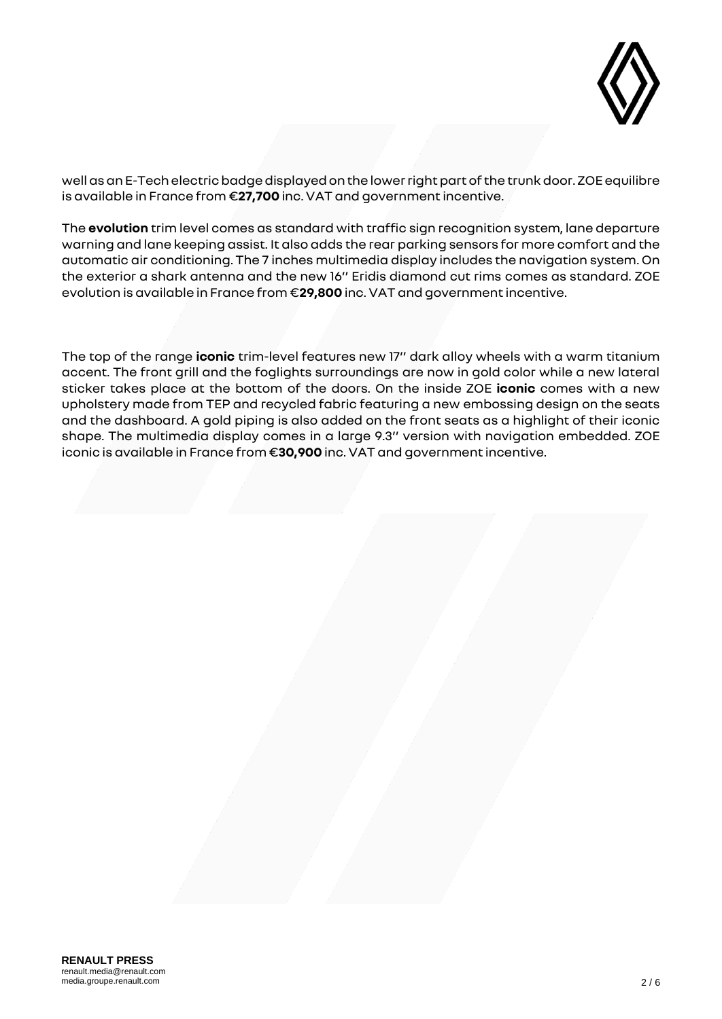

well as an E-Tech electric badge displayed on the lower right part of the trunk door. ZOE equilibre is available in France from €**27,700** inc. VAT and government incentive.

The **evolution** trim level comes as standard with traffic sign recognition system, lane departure warning and lane keeping assist. It also adds the rear parking sensors for more comfort and the automatic air conditioning. The 7 inches multimedia display includes the navigation system. On the exterior a shark antenna and the new 16'' Eridis diamond cut rims comes as standard. ZOE evolution is available in France from €**29,800** inc. VAT and government incentive.

The top of the range **iconic** trim-level features new 17'' dark alloy wheels with a warm titanium accent. The front grill and the foglights surroundings are now in gold color while a new lateral sticker takes place at the bottom of the doors. On the inside ZOE **iconic** comes with a new upholstery made from TEP and recycled fabric featuring a new embossing design on the seats and the dashboard. A gold piping is also added on the front seats as a highlight of their iconic shape. The multimedia display comes in a large 9.3'' version with navigation embedded. ZOE iconic is available in France from €**30,900** inc. VAT and government incentive.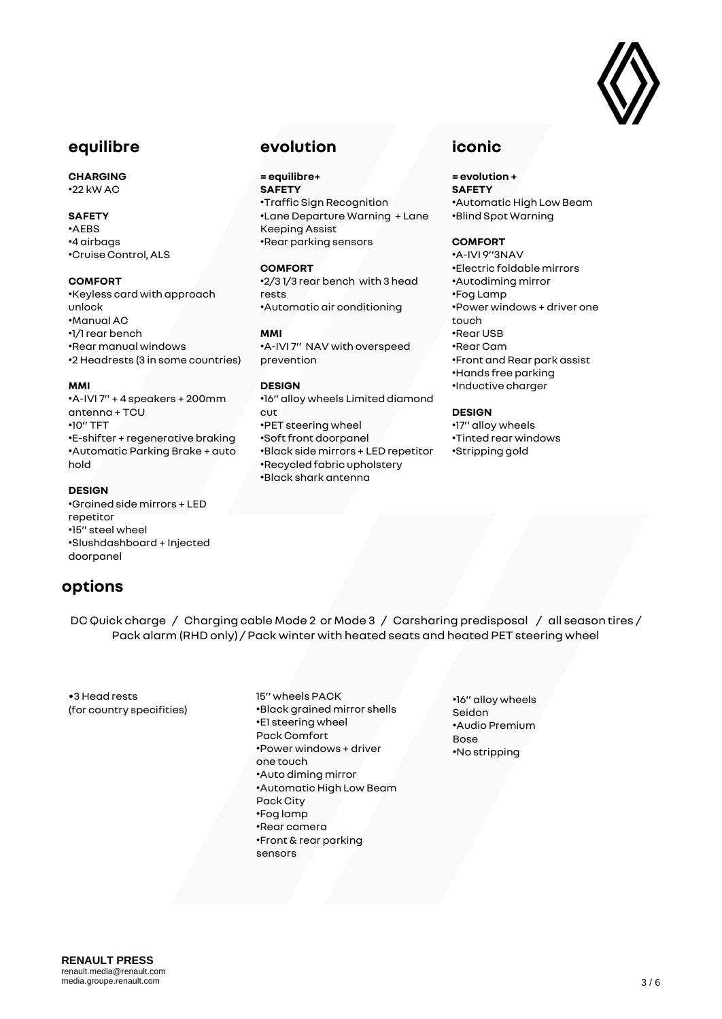

### **equilibre**

### **CHARGING**

•22 kW AC

### **SAFETY**

•AEBS •4 airbags •Cruise Control, ALS

#### **COMFORT**

•Keyless card with approach unlock •Manual AC •1/1 rear bench •Rear manual windows •2 Headrests (3 in some countries)

#### **MMI**

•A-IVI 7'' + 4 speakers + 200mm antenna + TCU •10'' TFT •E-shifter + regenerative braking •Automatic Parking Brake + auto hold

#### **DESIGN**

•Grained side mirrors + LED repetitor •15'' steel wheel •Slushdashboard + Injected doorpanel

## **options**

## **evolution**

**= equilibre+ SAFETY** •Traffic Sign Recognition •Lane Departure Warning + Lane Keeping Assist •Rear parking sensors

#### **COMFORT**

•2/3 1/3 rear bench with 3 head rests •Automatic air conditioning

#### **MMI**

•A-IVI 7'' NAV with overspeed prevention

### **DESIGN**

•16'' alloy wheels Limited diamond cut •PET steering wheel •Soft front doorpanel •Black side mirrors + LED repetitor •Recycled fabric upholstery •Black shark antenna

## **iconic**

**= evolution + SAFETY** •Automatic High Low Beam •Blind Spot Warning

### **COMFORT**

•A-IVI 9''3NAV •Electric foldable mirrors •Autodiming mirror •Fog Lamp •Power windows + driver one touch •Rear USB •Rear Cam •Front and Rear park assist •Hands free parking •Inductive charger

### **DESIGN**

•17'' alloy wheels •Tinted rear windows •Stripping gold

DC Quick charge / Charging cable Mode 2 or Mode 3 / Carsharing predisposal / all season tires / Pack alarm (RHD only) / Pack winter with heated seats and heated PET steering wheel

•3 Head rests (for country specifities)

- 15'' wheels PACK •Black grained mirror shells •E1 steering wheel Pack Comfort •Power windows + driver one touch •Auto diming mirror •Automatic High Low Beam Pack City •Fog lamp •Rear camera •Front & rear parking sensors
- •16'' alloy wheels Seidon •Audio Premium Bose •No stripping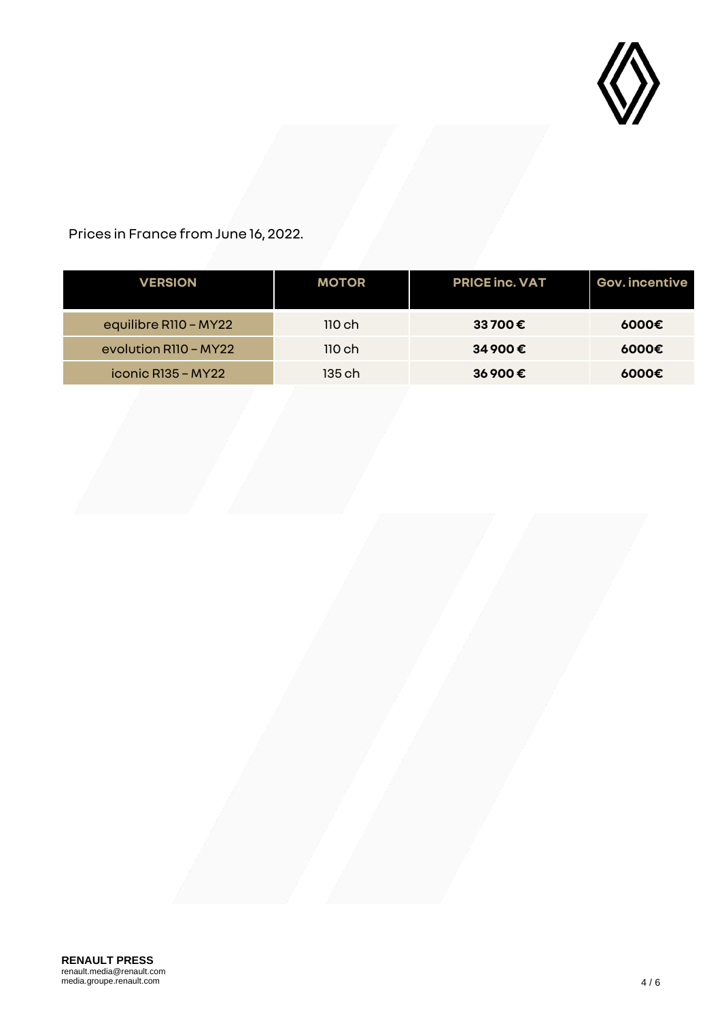

Prices in France from June 16, 2022.

| <b>VERSION</b>        | <b>MOTOR</b> | <b>PRICE inc. VAT</b> | <b>Gov. incentive</b> |
|-----------------------|--------------|-----------------------|-----------------------|
| equilibre R110 - MY22 | 110ch        | 33 700€               | 6000€                 |
| evolution R110 - MY22 | 110ch        | 34 900€               | 6000€                 |
| $i$ conic R135 – MY22 | 135 ch       | 36900€                | 6000€                 |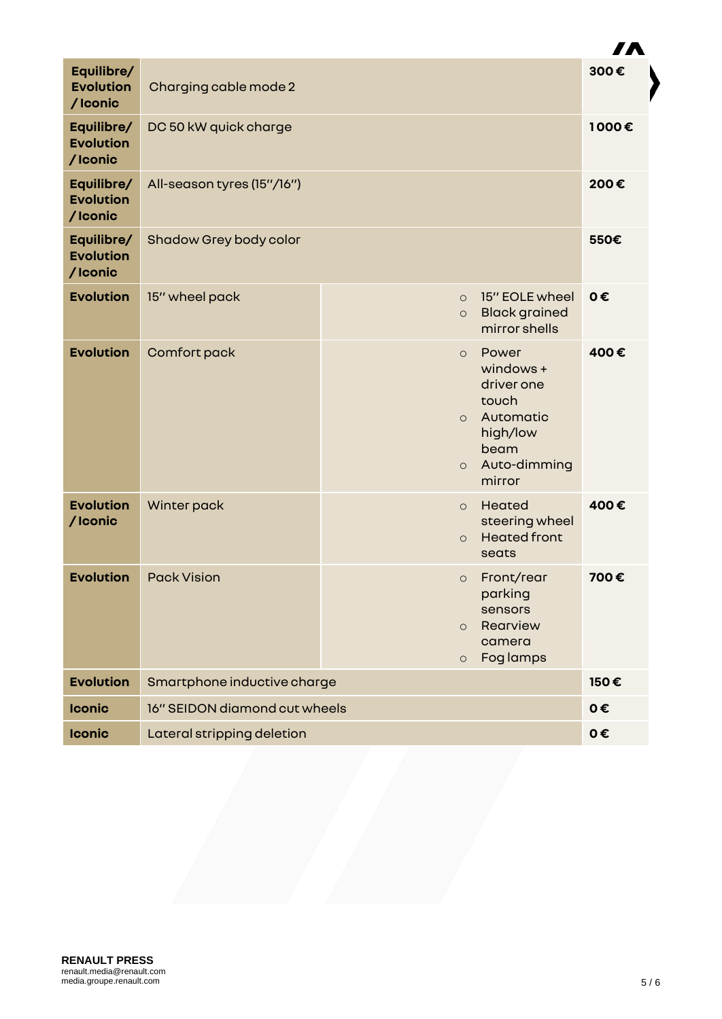|                                           |                               |                               |                                                                                                      | <i>i i</i> L |
|-------------------------------------------|-------------------------------|-------------------------------|------------------------------------------------------------------------------------------------------|--------------|
| Equilibre/<br><b>Evolution</b><br>/Iconic | Charging cable mode 2         |                               |                                                                                                      | 300€         |
| Equilibre/<br><b>Evolution</b><br>/Iconic | DC 50 kW quick charge         |                               |                                                                                                      | 1000€        |
| Equilibre/<br><b>Evolution</b><br>/Iconic | All-season tyres (15"/16")    |                               |                                                                                                      | 200€         |
| Equilibre/<br><b>Evolution</b><br>/Iconic | Shadow Grey body color        |                               |                                                                                                      | 550€         |
| <b>Evolution</b>                          | 15" wheel pack                | $\circ$<br>$\circ$            | 15" EOLE wheel<br><b>Black grained</b><br>mirror shells                                              | 0€           |
| <b>Evolution</b>                          | Comfort pack                  | $\circ$<br>$\circ$<br>$\circ$ | Power<br>windows +<br>driver one<br>touch<br>Automatic<br>high/low<br>beam<br>Auto-dimming<br>mirror | 400€         |
| <b>Evolution</b><br>/Iconic               | Winter pack                   | $\circ$<br>$\circ$            | Heated<br>steering wheel<br><b>Heated front</b><br>seats                                             | 400€         |
| <b>Evolution</b>                          | <b>Pack Vision</b>            | $\circ$<br>$\circ$<br>$\circ$ | Front/rear<br>parking<br>sensors<br>Rearview<br>camera<br>Fog lamps                                  | 700€         |
| <b>Evolution</b>                          | Smartphone inductive charge   |                               | 150€                                                                                                 |              |
| <b>Iconic</b>                             | 16" SEIDON diamond cut wheels |                               |                                                                                                      | 0€           |
| <b>Iconic</b>                             | Lateral stripping deletion    |                               |                                                                                                      | 0€           |